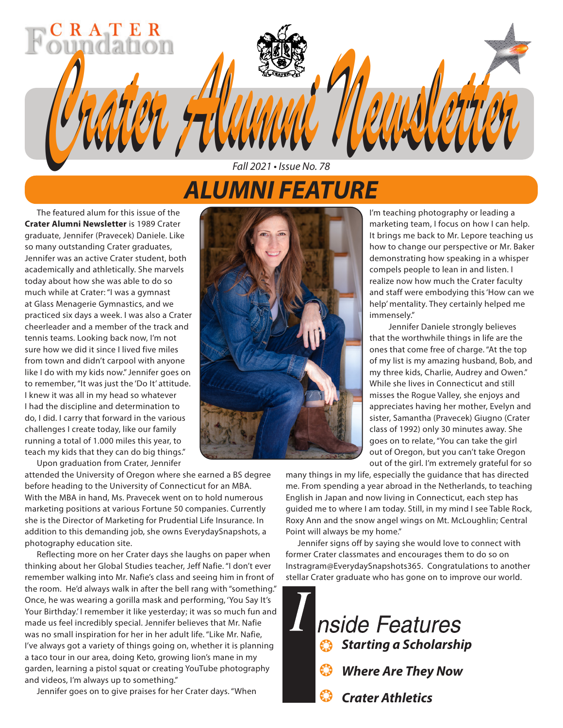# *ALUMNI FEATURE*

*Fall 2021 • Issue No. 78*

*Crater Alumni Newsletter Crater Alumni Newsletter*

The featured alum for this issue of the **Crater Alumni Newsletter** is 1989 Crater graduate, Jennifer (Pravecek) Daniele. Like so many outstanding Crater graduates, Jennifer was an active Crater student, both academically and athletically. She marvels today about how she was able to do so much while at Crater: "I was a gymnast at Glass Menagerie Gymnastics, and we practiced six days a week. I was also a Crater cheerleader and a member of the track and tennis teams. Looking back now, I'm not sure how we did it since I lived five miles from town and didn't carpool with anyone like I do with my kids now." Jennifer goes on to remember, "It was just the 'Do It' attitude. I knew it was all in my head so whatever I had the discipline and determination to do, I did. I carry that forward in the various challenges I create today, like our family running a total of 1.000 miles this year, to teach my kids that they can do big things."

RATER

Upon graduation from Crater, Jennifer

attended the University of Oregon where she earned a BS degree before heading to the University of Connecticut for an MBA. With the MBA in hand, Ms. Pravecek went on to hold numerous marketing positions at various Fortune 50 companies. Currently she is the Director of Marketing for Prudential Life Insurance. In addition to this demanding job, she owns EverydaySnapshots, a photography education site.

Reflecting more on her Crater days she laughs on paper when thinking about her Global Studies teacher, Jeff Nafie. "I don't ever remember walking into Mr. Nafie's class and seeing him in front of the room. He'd always walk in after the bell rang with "something." Once, he was wearing a gorilla mask and performing, 'You Say It's Your Birthday.' I remember it like yesterday; it was so much fun and made us feel incredibly special. Jennifer believes that Mr. Nafie was no small inspiration for her in her adult life. "Like Mr. Nafie, I've always got a variety of things going on, whether it is planning a taco tour in our area, doing Keto, growing lion's mane in my garden, learning a pistol squat or creating YouTube photography and videos, I'm always up to something."

Jennifer goes on to give praises for her Crater days. "When



I'm teaching photography or leading a marketing team, I focus on how I can help. It brings me back to Mr. Lepore teaching us how to change our perspective or Mr. Baker demonstrating how speaking in a whisper compels people to lean in and listen. I realize now how much the Crater faculty and staff were embodying this 'How can we help' mentality. They certainly helped me immensely."

Jennifer Daniele strongly believes that the worthwhile things in life are the ones that come free of charge. "At the top of my list is my amazing husband, Bob, and my three kids, Charlie, Audrey and Owen." While she lives in Connecticut and still misses the Rogue Valley, she enjoys and appreciates having her mother, Evelyn and sister, Samantha (Pravecek) Giugno (Crater class of 1992) only 30 minutes away. She goes on to relate, "You can take the girl out of Oregon, but you can't take Oregon out of the girl. I'm extremely grateful for so

many things in my life, especially the guidance that has directed me. From spending a year abroad in the Netherlands, to teaching English in Japan and now living in Connecticut, each step has guided me to where I am today. Still, in my mind I see Table Rock, Roxy Ann and the snow angel wings on Mt. McLoughlin; Central Point will always be my home."

Jennifer signs off by saying she would love to connect with former Crater classmates and encourages them to do so on Instragram@EverydaySnapshots365. Congratulations to another stellar Crater graduate who has gone on to improve our world.

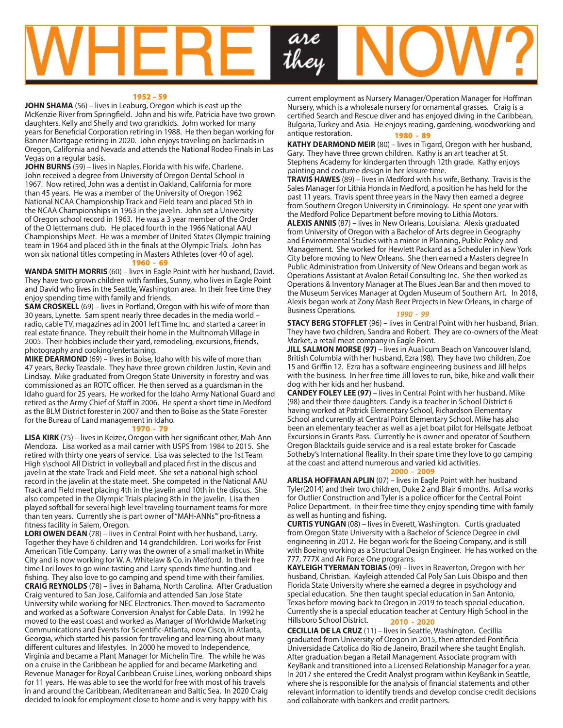

#### 1952 – 59

**JOHN SHAMA** (56) – lives in Leaburg, Oregon which is east up the McKenzie River from Springfield. John and his wife, Patricia have two grown daughters, Kelly and Shelly and two grandkids. John worked for many years for Beneficial Corporation retiring in 1988. He then began working for Banner Mortgage retiring in 2020. John enjoys traveling on backroads in Oregon, California and Nevada and attends the National Rodeo Finals in Las Vegas on a regular basis.

JOHN BURNS (59) – lives in Naples, Florida with his wife, Charlene. John received a degree from University of Oregon Dental School in 1967. Now retired, John was a dentist in Oakland, California for more than 45 years. He was a member of the University of Oregon 1962 National NCAA Championship Track and Field team and placed 5th in the NCAA Championships in 1963 in the javelin. John set a University of Oregon school record in 1963. He was a 3 year member of the Order of the O lettermans club. He placed fourth in the 1966 National AAU Championships Meet. He was a member of United States Olympic training team in 1964 and placed 5th in the finals at the Olympic Trials. John has won six national titles competing in Masters Athletes (over 40 of age).

## 1960 - 69

**WANDA SMITH MORRIS** (60) – lives in Eagle Point with her husband, David. They have two grown children with famlies, Sunny, who lives in Eagle Point and David who lives in the Seattle, Washington area. In their free time they enjoy spending time with family and friends.

**SAM CROSKELL** (69) – lives in Portland, Oregon with his wife of more than 30 years, Lynette. Sam spent nearly three decades in the media world – radio, cable TV, magazines ad in 2001 left Time Inc. and started a career in real estate finance. They rebuilt their home in the Multnomah Village in 2005. Their hobbies include their yard, remodeling, excursions, friends, photography and cooking/entertaining.

**MIKE DEARMOND** (69) – lives in Boise, Idaho with his wife of more than 47 years, Becky Teasdale. They have three grown children Justin, Kevin and Lindsay. Mike graduated from Oregon State University in forestry and was commissioned as an ROTC officer. He then served as a guardsman in the Idaho guard for 25 years. He worked for the Idaho Army National Guard and retired as the Army Chief of Staff in 2006. He spent a short time in Medford as the BLM District forester in 2007 and then to Boise as the State Forester for the Bureau of Land management in Idaho.

#### 1970 - 79

**LISA KIRK** (75) – lives in Keizer, Oregon with her significant other, Mah-Ann Mendoza. Lisa worked as a mail carrier with USPS from 1984 to 2015. She retired with thirty one years of service. Lisa was selected to the 1st Team High s\school All District in volleyball and placed first in the discus and javelin at the state Track and Field meet. She set a national high school record in the javelin at the state meet. She competed in the National AAU Track and Field meet placing 4th in the javelin and 10th in the discus. She also competed in the Olympic Trials placing 8th in the javelin. Lisa then played softball for several high level traveling tournament teams for more than ten years. Currently she is part owner of "MAH-ANNs'" pro-fitness a fitness facility in Salem, Oregon.

**LORI OWEN DEAN** (78) – lives in Central Point with her husband, Larry. Together they have 6 children and 14 grandchildren. Lori works for Frist American Title Company. Larry was the owner of a small market in White City and is now working for W. A. Whitelaw & Co. in Medford. In their free time Lori loves to go wine tasting and Larry spends time hunting and fishing. They also love to go camping and spend time with their families. **CRAIG REYNOLDS** (78) – lives in Bahama, North Carolina. After Graduation Craig ventured to San Jose, California and attended San Jose State University while working for NEC Electronics. Then moved to Sacramento and worked as a Software Conversion Analyst for Cable Data. In 1992 he moved to the east coast and worked as Manager of Worldwide Marketing Communications and Events for Scientific-Atlanta, now Cisco, in Atlanta, Georgia, which started his passion for traveling and learning about many different cultures and lifestyles. In 2000 he moved to Independence, Virginia and became a Plant Manager for Michelin Tire. The while he was on a cruise in the Caribbean he applied for and became Marketing and Revenue Manager for Royal Caribbean Cruise Lines, working onboard ships for 11 years. He was able to see the world for free with most of his travels in and around the Caribbean, Mediterranean and Baltic Sea. In 2020 Craig decided to look for employment close to home and is very happy with his

current employment as Nursery Manager/Operation Manager for Hoffman Nursery, which is a wholesale nursery for ornamental grasses. Craig is a certified Search and Rescue diver and has enjoyed diving in the Caribbean, Bulgaria, Turkey and Asia. He enjoys reading, gardening, woodworking and antique restoration. 1980 - 89

**KATHY DEARMOND MEIR** (80) – lives in Tigard, Oregon with her husband, Gary. They have three grown children. Kathy is an art teacher at St. Stephens Academy for kindergarten through 12th grade. Kathy enjoys painting and costume design in her leisure time.

**TRAVIS HAWES** (89) – lives in Medford with his wife, Bethany. Travis is the Sales Manager for Lithia Honda in Medford, a position he has held for the past 11 years. Travis spent three years in the Navy then earned a degree from Southern Oregon University in Criminology. He spent one year with the Medford Police Department before moving to Lithia Motors.

**ALEXIS ANNIS** (87) – lives in New Orleans, Louisiana. Alexis graduated from University of Oregon with a Bachelor of Arts degree in Geography and Environmental Studies with a minor in Planning, Public Policy and Management. She worked for Hewlett Packard as a Scheduler in New York City before moving to New Orleans. She then earned a Masters degree In Public Administration from University of New Orleans and began work as Operations Assistant at Avalon Retail Consulting Inc. She then worked as Operations & Inventory Manager at The Blues Jean Bar and then moved to the Museum Services Manager at Ogden Museum of Southern Art. In 2018, Alexis began work at Zony Mash Beer Projects in New Orleans, in charge of Business Operations. *1990 - 99*

**STACY BERG STOFFLET** (96) – lives in Central Point with her husband, Brian. They have two children, Sandra and Robert. They are co-owners of the Meat Market, a retail meat company in Eagle Point.

**JILL SALMON MORSE (97)** – lives in Aualicum Beach on Vancouver Island, British Columbia with her husband, Ezra (98). They have two children, Zoe 15 and Griffin 12. Ezra has a software engineering business and Jill helps with the business. In her free time Jill loves to run, bike, hike and walk their dog with her kids and her husband.

**CANDEY FOLEY LEE (97)** – lives in Central Point with her husband, Mike (98) and their three daughters. Candy is a teacher in School District 6 having worked at Patrick Elementary School, Richardson Elementary School and currently at Central Point Elementary School. Mike has also been an elementary teacher as well as a jet boat pilot for Hellsgate Jetboat Excursions in Grants Pass. Currently he is owner and operator of Southern Oregon Blacktails guide service and is a real estate broker for Cascade Sotheby's International Reality. In their spare time they love to go camping at the coast and attend numerous and varied kid activities.

## **2000 - 2009**

**ARLISA HOFFMAN APLIN** (07) – lives in Eagle Point with her husband Tyler(2014) and their two children, Duke 2 and Blair 6 months. Arlisa works for Outlier Construction and Tyler is a police officer for the Central Point Police Department. In their free time they enjoy spending time with family as well as hunting and fishing.

**CURTIS YUNGAN** (08) – lives in Everett, Washington. Curtis graduated from Oregon State University with a Bachelor of Science Degree in civil engineering in 2012. He began work for the Boeing Company, and is still with Boeing working as a Structural Design Engineer. He has worked on the 777, 777X and Air Force One programs.

**KAYLEIGH TYERMAN TOBIAS** (09) – lives in Beaverton, Oregon with her husband, Christian. Kayleigh attended Cal Poly San Luis Obispo and then Florida State University where she earned a degree in psychology and special education. She then taught special education in San Antonio, Texas before moving back to Oregon in 2019 to teach special education. Currently she is a special education teacher at Century High School in the Hillsboro School District. **2010 - 2020**

**CECILLIA DE LA CRUZ** (11) – lives in Seattle, Washington. Cecillia graduated from University of Oregon in 2015, then attended Pontificia Universidade Catolica do Rio de Janeiro, Brazil where she taught English. After graduation began a Retail Management Associate program with KeyBank and transitioned into a Licensed Relationship Manager for a year. In 2017 she entered the Credit Analyst program within KeyBank in Seattle, where she is responsible for the analysis of financial statements and other relevant information to identify trends and develop concise credit decisions and collaborate with bankers and credit partners.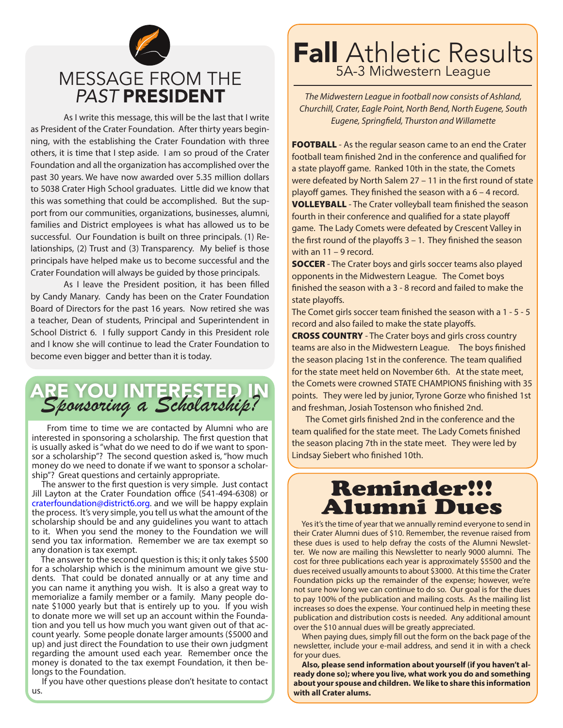

As I write this message, this will be the last that I write as President of the Crater Foundation. After thirty years beginning, with the establishing the Crater Foundation with three others, it is time that I step aside. I am so proud of the Crater Foundation and all the organization has accomplished over the past 30 years. We have now awarded over 5.35 million dollars to 5038 Crater High School graduates. Little did we know that this was something that could be accomplished. But the support from our communities, organizations, businesses, alumni, families and District employees is what has allowed us to be successful. Our Foundation is built on three principals. (1) Relationships, (2) Trust and (3) Transparency. My belief is those principals have helped make us to become successful and the Crater Foundation will always be guided by those principals.

As I leave the President position, it has been filled by Candy Manary. Candy has been on the Crater Foundation Board of Directors for the past 16 years. Now retired she was a teacher, Dean of students, Principal and Superintendent in School District 6. I fully support Candy in this President role and I know she will continue to lead the Crater Foundation to become even bigger and better than it is today.

ARE YOU INTERESTED IN *Sponsoring a Scholarship?*

 From time to time we are contacted by Alumni who are interested in sponsoring a scholarship. The first question that is usually asked is "what do we need to do if we want to sponsor a scholarship"? The second question asked is, "how much money do we need to donate if we want to sponsor a scholarship"? Great questions and certainly appropriate.

 The answer to the first question is very simple. Just contact Jill Layton at the Crater Foundation office (541-494-6308) or craterfoundation@district6.org. and we will be happy explain the process. It's very simple, you tell us what the amount of the scholarship should be and any guidelines you want to attach to it. When you send the money to the Foundation we will send you tax information. Remember we are tax exempt so any donation is tax exempt.

 The answer to the second question is this; it only takes \$500 for a scholarship which is the minimum amount we give students. That could be donated annually or at any time and you can name it anything you wish. It is also a great way to memorialize a family member or a family. Many people donate \$1000 yearly but that is entirely up to you. If you wish to donate more we will set up an account within the Foundation and you tell us how much you want given out of that account yearly. Some people donate larger amounts (\$5000 and up) and just direct the Foundation to use their own judgment regarding the amount used each year. Remember once the money is donated to the tax exempt Foundation, it then belongs to the Foundation.

 If you have other questions please don't hesitate to contact us.

## **Fall** Athletic Results 5A-3 Midwestern League

*The Midwestern League in football now consists of Ashland, Churchill, Crater, Eagle Point, North Bend, North Eugene, South Eugene, Springfield, Thurston and Willamette*

FOOTBALL - As the regular season came to an end the Crater football team finished 2nd in the conference and qualified for a state playoff game. Ranked 10th in the state, the Comets were defeated by North Salem 27 – 11 in the first round of state playoff games. They finished the season with a 6 – 4 record. **VOLLEYBALL** - The Crater volleyball team finished the season fourth in their conference and qualified for a state playoff game. The Lady Comets were defeated by Crescent Valley in the first round of the playoffs 3 – 1. They finished the season with an 11 – 9 record.

**SOCCER** - The Crater boys and girls soccer teams also played opponents in the Midwestern League. The Comet boys finished the season with a 3 - 8 record and failed to make the state playoffs.

The Comet girls soccer team finished the season with a 1 - 5 - 5 record and also failed to make the state playoffs.

**CROSS COUNTRY** - The Crater boys and girls cross country teams are also in the Midwestern League. The boys finished the season placing 1st in the conference. The team qualified for the state meet held on November 6th. At the state meet, the Comets were crowned STATE CHAMPIONS finishing with 35 points. They were led by junior, Tyrone Gorze who finished 1st and freshman, Josiah Tostenson who finished 2nd.

The Comet girls finished 2nd in the conference and the team qualified for the state meet. The Lady Comets finished the season placing 7th in the state meet. They were led by Lindsay Siebert who finished 10th.

## Reminder!!! Alumni Dues

 Yes it's the time of year that we annually remind everyone to send in their Crater Alumni dues of \$10. Remember, the revenue raised from these dues is used to help defray the costs of the Alumni Newsletter. We now are mailing this Newsletter to nearly 9000 alumni. The cost for three publications each year is approximately \$5500 and the dues received usually amounts to about \$3000. At this time the Crater Foundation picks up the remainder of the expense; however, we're not sure how long we can continue to do so. Our goal is for the dues to pay 100% of the publication and mailing costs. As the mailing list increases so does the expense. Your continued help in meeting these publication and distribution costs is needed. Any additional amount over the \$10 annual dues will be greatly appreciated.

 When paying dues, simply fill out the form on the back page of the newsletter, include your e-mail address, and send it in with a check for your dues.

 **Also, please send information about yourself (if you haven't already done so); where you live, what work you do and something about your spouse and children. We like to share this information with all Crater alums.**